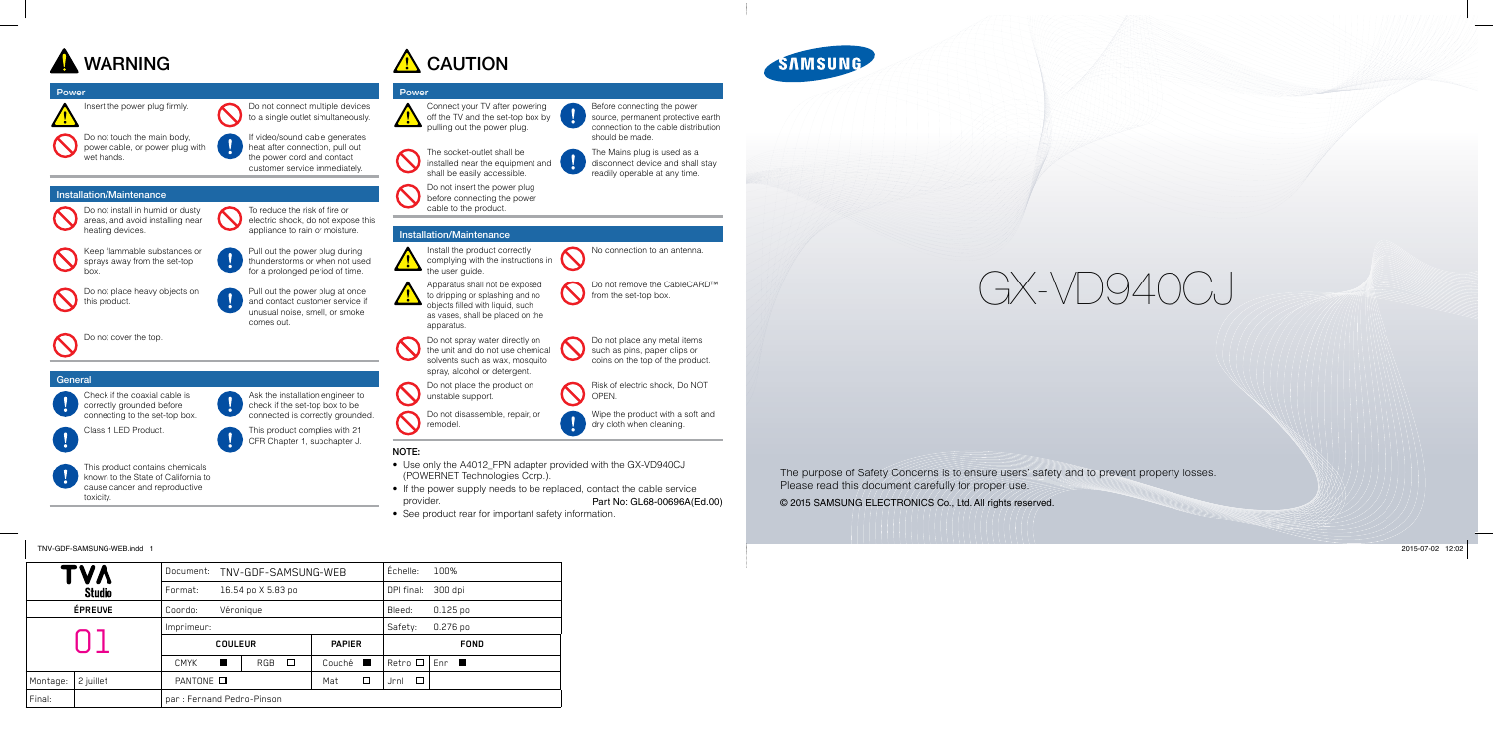

#### Power

Insert the power plug firmly. Do not connect multiple devices

Do not touch the main body, power cable, or power plug with wet hands.

to a single outlet simultaneously.

If video/sound cable generates heat after connection, pull out the power cord and contact customer service immediately.

### Installation/Maintenance

Do not install in humid or dusty areas, and avoid installing near heating devices.

To reduce the risk of fire or electric shock, do not expose this appliance to rain or moisture.

Keep flammable substances or sprays away from the set-top



Pull out the power plug during thunderstorms or when not used for a prolonged period of time.

Do not place heavy objects on this product.

Pull out the power plug at once

unusual noise, smell, or smoke

comes out.

Do not cover the top.

#### **General**

Install the product correctly complying with the instructions in <u>/ ! </u> the user quide.





Ask the installation engineer to check if the set-top box to be connected is correctly grounded.



Risk of electric shock, Do NOT Risk of OPEN.

This product contains chemicals known to the State of California to cause cancer and reproductive toxicity.





Connect your TV after powering off the TV and the set-top box by pulling out the power plug.





Before connecting the power source, permanent protective earth connection to the cable distribution should be made.

The socket-outlet shall be installed near the equipment and shall be easily accessible.

The Mains plug is used as a disconnect device and shall stay readily operable at any time.



#### Installation/Maintenance

No connection to an antenna.

Do not remove the CableCARD™ from the set-top box.

Apparatus shall not be exposed

Do not spray water directly on the unit and do not use chemical solvents such as wax, mosquito spray, alcohol or detergent. Do not place any metal items such as pins, paper clips or coins on the top of the product.

Do not place the product on unstable support.

Do not disassemble, repair, or

remodel.

- Use only the A4012\_FPN adapter provided with the GX-VD940CJ (POWERNET Technologies Corp.).
- If the power supply needs to be replaced, contact the cable service provider. Part No: GL68-00696A(Ed.00)
- See product rear for important safety information.



Wipe the product with a soft and dry cloth when cleaning.

### NOTE:

 $\bigcirc$ 

The purpose of Safety Concerns is to ensure users' safety and to prevent property losses. Please read this document carefully for proper use.

© 2015 SAMSUNG ELECTRONICS Co., Ltd. All rights reserved.